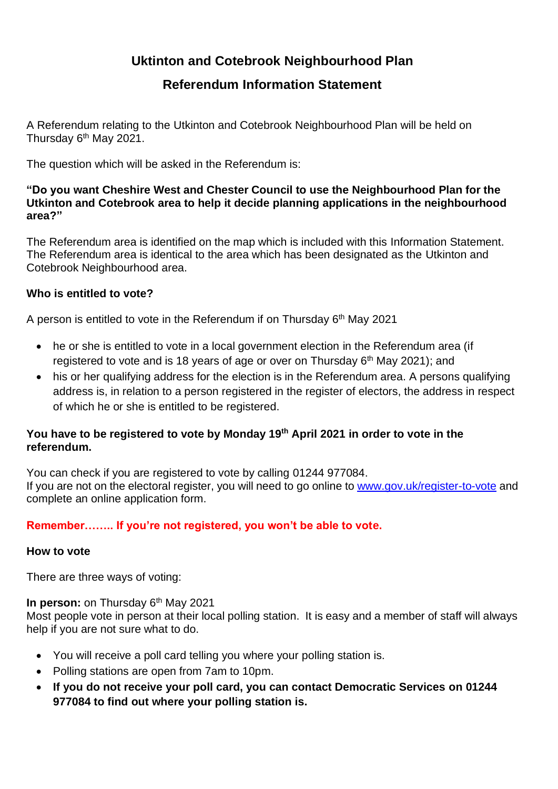# **Uktinton and Cotebrook Neighbourhood Plan**

# **Referendum Information Statement**

A Referendum relating to the Utkinton and Cotebrook Neighbourhood Plan will be held on Thursday 6<sup>th</sup> May 2021.

The question which will be asked in the Referendum is:

#### **"Do you want Cheshire West and Chester Council to use the Neighbourhood Plan for the Utkinton and Cotebrook area to help it decide planning applications in the neighbourhood area?"**

The Referendum area is identified on the map which is included with this Information Statement. The Referendum area is identical to the area which has been designated as the Utkinton and Cotebrook Neighbourhood area.

# **Who is entitled to vote?**

A person is entitled to vote in the Referendum if on Thursday 6<sup>th</sup> May 2021

- he or she is entitled to vote in a local government election in the Referendum area (if registered to vote and is 18 years of age or over on Thursday  $6<sup>th</sup>$  May 2021); and
- his or her qualifying address for the election is in the Referendum area. A persons qualifying address is, in relation to a person registered in the register of electors, the address in respect of which he or she is entitled to be registered.

# **You have to be registered to vote by Monday 19th April 2021 in order to vote in the referendum.**

You can check if you are registered to vote by calling 01244 977084. If you are not on the electoral register, you will need to go online to [www.gov.uk/register-to-vote](http://www.gov.uk/register-to-vote) and complete an online application form.

# **Remember…….. If you're not registered, you won't be able to vote.**

#### **How to vote**

There are three ways of voting:

# **In person:** on Thursday 6<sup>th</sup> May 2021

Most people vote in person at their local polling station. It is easy and a member of staff will always help if you are not sure what to do.

- You will receive a poll card telling you where your polling station is.
- Polling stations are open from 7am to 10pm.
- **If you do not receive your poll card, you can contact Democratic Services on 01244 977084 to find out where your polling station is.**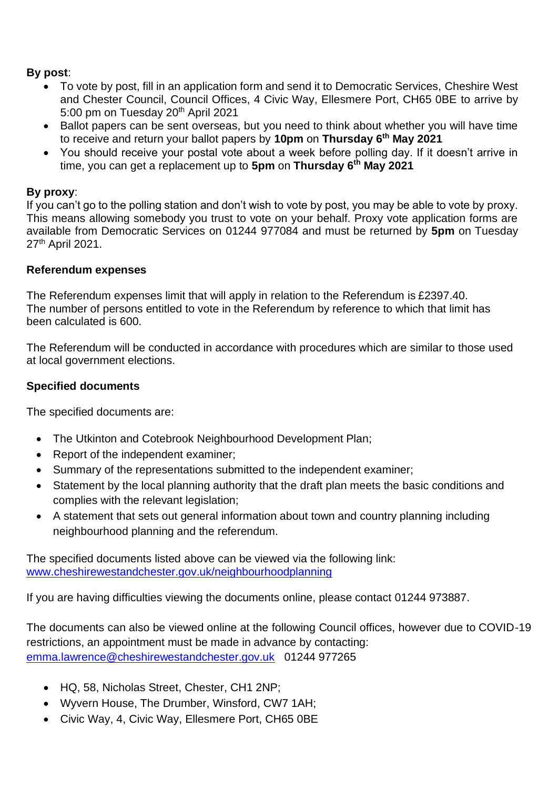# **By post**:

- To vote by post, fill in an application form and send it to Democratic Services, Cheshire West and Chester Council, Council Offices, 4 Civic Way, Ellesmere Port, CH65 0BE to arrive by 5:00 pm on Tuesday 20<sup>th</sup> April 2021
- Ballot papers can be sent overseas, but you need to think about whether you will have time to receive and return your ballot papers by **10pm** on **Thursday 6th May 2021**
- You should receive your postal vote about a week before polling day. If it doesn't arrive in time, you can get a replacement up to **5pm** on **Thursday 6th May 2021**

# **By proxy**:

If you can't go to the polling station and don't wish to vote by post, you may be able to vote by proxy. This means allowing somebody you trust to vote on your behalf. Proxy vote application forms are available from Democratic Services on 01244 977084 and must be returned by **5pm** on Tuesday 27th April 2021.

#### **Referendum expenses**

The Referendum expenses limit that will apply in relation to the Referendum is £2397.40. The number of persons entitled to vote in the Referendum by reference to which that limit has been calculated is 600.

The Referendum will be conducted in accordance with procedures which are similar to those used at local government elections.

#### **Specified documents**

The specified documents are:

- The Utkinton and Cotebrook Neighbourhood Development Plan;
- Report of the independent examiner:
- Summary of the representations submitted to the independent examiner;
- Statement by the local planning authority that the draft plan meets the basic conditions and complies with the relevant legislation;
- A statement that sets out general information about town and country planning including neighbourhood planning and the referendum.

The specified documents listed above can be viewed via the following link: [www.cheshirewestandchester.gov.uk/neighbourhoodplanning](http://www.cheshirewestandchester.gov.uk/neighbourhoodplanning)

If you are having difficulties viewing the documents online, please contact 01244 973887.

The documents can also be viewed online at the following Council offices, however due to COVID-19 restrictions, an appointment must be made in advance by contacting: [emma.lawrence@cheshirewestandchester.gov.uk](mailto:emma.lawrence@cheshirewestandchester.gov.uk) 01244 977265

- HQ, 58, Nicholas Street, Chester, CH1 2NP;
- Wyvern House, The Drumber, Winsford, CW7 1AH;
- Civic Way, 4, Civic Way, Ellesmere Port, CH65 0BE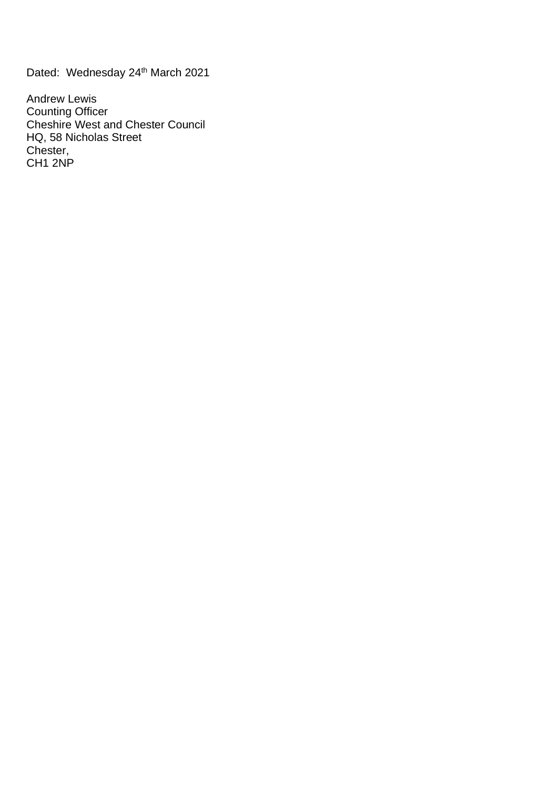Dated: Wednesday 24<sup>th</sup> March 2021

Andrew Lewis Counting Officer Cheshire West and Chester Council HQ, 58 Nicholas Street Chester, CH<sub>1</sub> 2NP